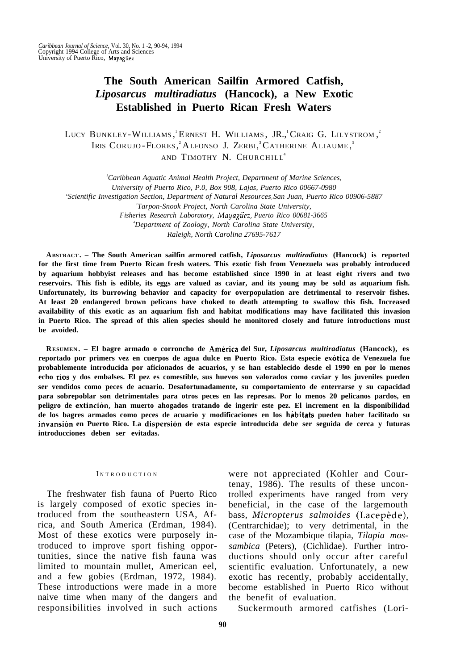# **The South American Sailfin Armored Catfish,** *Liposarcus multiradiatus* **(Hancock), a New Exotic Established in Puerto Rican Fresh Waters**

LUCY BUNKLEY-WILLIAMS, ERNEST H. WILLIAMS, JR., CRAIG G. LILYSTROM, Iris Corujo-Flores,<sup>2</sup> Alfonso J. Zerbi,<sup>3</sup> Catherine Aliaume,<sup>3</sup> AND TIMOTHY N. CHURCHILL 4

*<sup>1</sup>Caribbean Aquatic Animal Health Project, Department of Marine Sciences, University of Puerto Rico, P.0, Box 908, Lajas, Puerto Rico 00667-0980 'Scientific Investigation Section, Department of Natural Resourcesr San Juan, Puerto Rico 00906-5887 3 Tarpon-Snook Project, North Carolina State University, Fisheries Research Laboratory, Mayaguez, Puerto Rico 00681-3665 <sup>4</sup>Department of Zoology, North Carolina State University, Raleigh, North Carolina 27695-7617*

**ABSTRACT. – The South American sailfin armored catfish,** *Liposarcus multiradiatus* **(Hancock) is reported for the first time from Puerto Rican fresh waters. This exotic fish from Venezuela was probably introduced by aquarium hobbyist releases and has become established since 1990 in at least eight rivers and two reservoirs. This fish is edible, its eggs are valued as caviar, and its young may be sold as aquarium fish. Unfortunately, its burrowing behavior and capacity for overpopulation are detrimental to reservoir fishes. At least 20 endangered brown pelicans have choked to death attempting to swallow this fish. Increased availability of this exotic as an aquarium fish and habitat modifications may have facilitated this invasion in Puerto Rico. The spread of this alien species should he monitored closely and future introductions must be avoided.**

**RESUMEN . – El bagre armado o corroncho de America del Sur,** *Liposarcus multiradiatus* **(Hancock), es reportado por primers vez en cuerpos de agua dulce en Puerto Rico. Esta especie exotica de Venezuela fue probablemente introducida por aficionados de acuarios, y se han establecido desde el 1990 en por lo menos echo rios y dos embalses. El pez es comestible, sus huevos son valorados como caviar y los juveniles pueden ser vendidos como peces de acuario. Desafortunadamente, su comportamiento de enterrarse y su capacidad para sobrepoblar son detrimentales para otros peces en las represas. Por lo menos 20 pelicanos pardos, en peligro de extincion, han muerto ahogados tratando de ingerir este pez. El increment en la disponibilidad de los bagres armados como peces de acuario y modificaciones en los habitats pueden haber facilitado su invansion en Puerto Rico. La dispersion de esta especie introducida debe ser seguida de cerca y futuras introducciones deben ser evitadas.**

#### INTRODUCTION

The freshwater fish fauna of Puerto Rico is largely composed of exotic species introduced from the southeastern USA, Africa, and South America (Erdman, 1984). Most of these exotics were purposely introduced to improve sport fishing opportunities, since the native fish fauna was limited to mountain mullet, American eel, and a few gobies (Erdman, 1972, 1984). These introductions were made in a more naive time when many of the dangers and responsibilities involved in such actions

were not appreciated (Kohler and Courtenay, 1986). The results of these uncontrolled experiments have ranged from very beneficial, in the case of the largemouth bass, *Micropterus salmoides* (Lacepede), (Centrarchidae); to very detrimental, in the case of the Mozambique tilapia, *Tilapia mossambica* (Peters), (Cichlidae). Further introductions should only occur after careful scientific evaluation. Unfortunately, a new exotic has recently, probably accidentally, become established in Puerto Rico without the benefit of evaluation.

Suckermouth armored catfishes (Lori-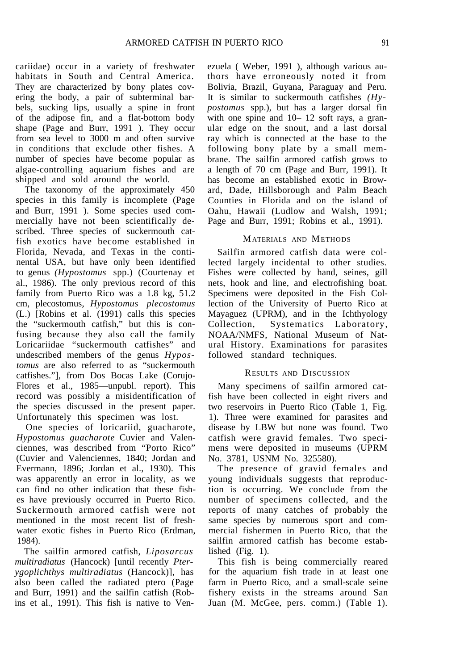cariidae) occur in a variety of freshwater habitats in South and Central America. They are characterized by bony plates covering the body, a pair of subterminal barbels, sucking lips, usually a spine in front of the adipose fin, and a flat-bottom body shape (Page and Burr, 1991 ). They occur from sea level to 3000 m and often survive in conditions that exclude other fishes. A number of species have become popular as algae-controlling aquarium fishes and are shipped and sold around the world.

The taxonomy of the approximately 450 species in this family is incomplete (Page and Burr, 1991 ). Some species used commercially have not been scientifically described. Three species of suckermouth catfish exotics have become established in Florida, Nevada, and Texas in the continental USA, but have only been identified to genus *(Hypostomus* spp.) (Courtenay et al., 1986). The only previous record of this family from Puerto Rico was a 1.8 kg, 51.2 cm, plecostomus, *Hypostomus plecostomus* (L.) [Robins et al. (1991) calls this species the "suckermouth catfish," but this is confusing because they also call the family Loricariidae "suckermouth catfishes" and undescribed members of the genus *Hypostomus* are also referred to as "suckermouth catfishes."], from Dos Bocas Lake (Corujo-Flores et al., 1985—unpubl. report). This record was possibly a misidentification of the species discussed in the present paper. Unfortunately this specimen was lost.

One species of loricariid, guacharote, *Hypostomus guacharote* Cuvier and Valenciennes, was described from "Porto Rico" (Cuvier and Valenciennes, 1840; Jordan and Evermann, 1896; Jordan et al., 1930). This was apparently an error in locality, as we can find no other indication that these fishes have previously occurred in Puerto Rico. Suckermouth armored catfish were not mentioned in the most recent list of freshwater exotic fishes in Puerto Rico (Erdman, 1984).

The sailfin armored catfish, *Liposarcus multiradiatus* (Hancock) [until recently *Pterygoplichthys multiradiatus* (Hancock)], has also been called the radiated ptero (Page and Burr, 1991) and the sailfin catfish (Robins et al., 1991). This fish is native to Venezuela ( Weber, 1991 ), although various authors have erroneously noted it from Bolivia, Brazil, Guyana, Paraguay and Peru. It is similar to suckermouth catfishes *(Hypostomus* spp.), but has a larger dorsal fin with one spine and 10– 12 soft rays, a granular edge on the snout, and a last dorsal ray which is connected at the base to the following bony plate by a small membrane. The sailfin armored catfish grows to a length of 70 cm (Page and Burr, 1991). It has become an established exotic in Broward, Dade, Hillsborough and Palm Beach Counties in Florida and on the island of Oahu, Hawaii (Ludlow and Walsh, 1991; Page and Burr, 1991; Robins et al., 1991).

## MATERIALS AND METHODS

Sailfin armored catfish data were collected largely incidental to other studies. Fishes were collected by hand, seines, gill nets, hook and line, and electrofishing boat. Specimens were deposited in the Fish Collection of the University of Puerto Rico at Mayaguez (UPRM), and in the Ichthyology Collection, Systematics Laboratory, NOAA/NMFS, National Museum of Natural History. Examinations for parasites followed standard techniques.

## RESULTS AND DISCUSSION

Many specimens of sailfin armored catfish have been collected in eight rivers and two reservoirs in Puerto Rico (Table 1, Fig. 1). Three were examined for parasites and disease by LBW but none was found. Two catfish were gravid females. Two specimens were deposited in museums (UPRM No. 3781, USNM No. 325580).

The presence of gravid females and young individuals suggests that reproduction is occurring. We conclude from the number of specimens collected, and the reports of many catches of probably the same species by numerous sport and commercial fishermen in Puerto Rico, that the sailfin armored catfish has become established (Fig. 1).

This fish is being commercially reared for the aquarium fish trade in at least one farm in Puerto Rico, and a small-scale seine fishery exists in the streams around San Juan (M. McGee, pers. comm.) (Table 1).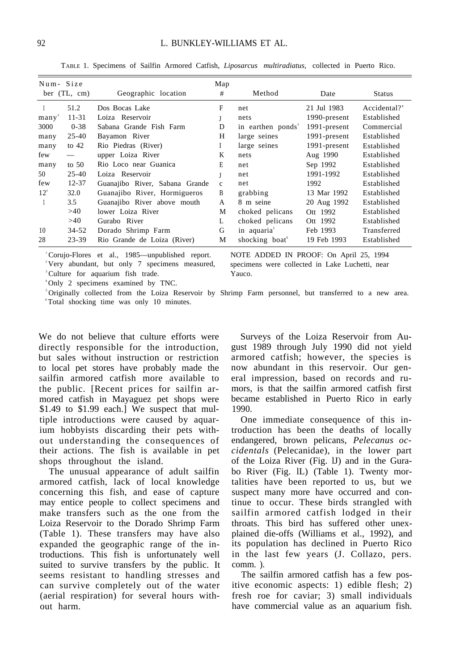| Num-Size       |           |                                | Map          |                               |              |               |
|----------------|-----------|--------------------------------|--------------|-------------------------------|--------------|---------------|
| ber $(TL, cm)$ |           | Geographic location            | #            | Method                        | Date         | <b>Status</b> |
|                | 51.2      | Dos Bocas Lake                 | F            | net                           | 21 Jul 1983  | Accidental?'  |
| $manv^2$       | $11 - 31$ | Loiza Reservoir                |              | nets                          | 1990-present | Established   |
| 3000           | $0 - 38$  | Sabana Grande Fish Farm        | D            | in earthen ponds <sup>3</sup> | 1991-present | Commercial    |
| many           | $25 - 40$ | Bayamon River                  | H            | large seines                  | 1991-present | Established   |
| many           | to $42$   | Rio Piedras (River)            | Ι            | large seines                  | 1991-present | Established   |
| few            |           | upper Loiza River              | K            | nets                          | Aug 1990     | Established   |
| many           | to $50$   | Rio Loco near Guanica          | E            | net                           | Sep 1992     | Established   |
| 50             | $25 - 40$ | Loiza Reservoir                |              | net                           | 1991-1992    | Established   |
| few            | $12 - 37$ | Guanajibo River, Sabana Grande | $\mathbf{c}$ | net                           | 1992         | Established   |
| $12^4$         | 32.0      | Guanajibo River, Hormigueros   | B            | grabbing                      | 13 Mar 1992  | Established   |
|                | 3.5       | Guanajibo River above mouth    | A            | 8 m seine                     | 20 Aug 1992  | Established   |
|                | >40       | lower Loiza River              | М            | choked pelicans               | Ott 1992     | Established   |
|                | >40       | Gurabo River                   | L            | choked pelicans               | Ott 1992     | Established   |
| 10             | $34 - 52$ | Dorado Shrimp Farm             | G            | in aquaria <sup>5</sup>       | Feb 1993     | Transferred   |
| 28             | $23 - 39$ | Rio Grande de Loiza (River)    | M            | shocking boat <sup>6</sup>    | 19 Feb 1993  | Established   |

TABLE 1. Specimens of Sailfin Armored Catfish, *Liposarcus multiradiatus,* collected in Puerto Rico.

<sup>3</sup>Culture for aquarium fish trade. Yauco.

<sup>1</sup>Corujo-Flores et al., 1985—unpublished report. NOTE ADDED IN PROOF: On April 25, 1994 <sup>2</sup>Very abundant, but only 7 specimens measured, specimens were collected in Lake Luchetti, near

<sup>4</sup>Only 2 specimens examined by TNC.

<sup>5</sup>Originally collected from the Loiza Reservoir by Shrimp Farm personnel, but transferred to a new area. <sup>6</sup>Total shocking time was only 10 minutes.

We do not believe that culture efforts were directly responsible for the introduction, but sales without instruction or restriction to local pet stores have probably made the sailfin armored catfish more available to the public. [Recent prices for sailfin armored catfish in Mayaguez pet shops were \$1.49 to \$1.99 each.] We suspect that multiple introductions were caused by aquarium hobbyists discarding their pets without understanding the consequences of their actions. The fish is available in pet shops throughout the island.

The unusual appearance of adult sailfin armored catfish, lack of local knowledge concerning this fish, and ease of capture may entice people to collect specimens and make transfers such as the one from the Loiza Reservoir to the Dorado Shrimp Farm (Table 1). These transfers may have also expanded the geographic range of the introductions. This fish is unfortunately well suited to survive transfers by the public. It seems resistant to handling stresses and can survive completely out of the water (aerial respiration) for several hours without harm.

Surveys of the Loiza Reservoir from August 1989 through July 1990 did not yield armored catfish; however, the species is now abundant in this reservoir. Our general impression, based on records and rumors, is that the sailfin armored catfish first became established in Puerto Rico in early 1990.

One immediate consequence of this introduction has been the deaths of locally endangered, brown pelicans, *Pelecanus occidentals* (Pelecanidae), in the lower part of the Loiza River (Fig. lJ) and in the Gurabo River (Fig. lL) (Table 1). Twenty mortalities have been reported to us, but we suspect many more have occurred and continue to occur. These birds strangled with sailfin armored catfish lodged in their throats. This bird has suffered other unexplained die-offs (Williams et al., 1992), and its population has declined in Puerto Rico in the last few years (J. Collazo, pers. comm. ).

The sailfin armored catfish has a few positive economic aspects: 1) edible flesh; 2) fresh roe for caviar; 3) small individuals have commercial value as an aquarium fish.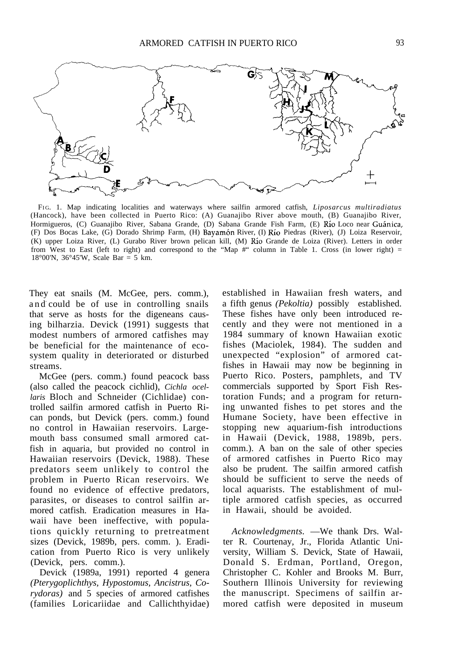

FI G. 1. Map indicating localities and waterways where sailfin armored catfish, *Liposarcus multiradiatus* (Hancock), have been collected in Puerto Rico: (A) Guanajibo River above mouth, (B) Guanajibo River, Hormigueros, (C) Guanajibo River, Sabana Grande, (D) Sabana Grande Fish Farm, (E) Río Loco near Guánica, (F) Dos Bocas Lake, (G) Dorado Shrimp Farm, (H) Bayamon River, (I) Rio Piedras (River), (J) Loiza Reservoir, (K) upper Loiza River, (L) Gurabo River brown pelican kill, (M) Rio Grande de Loiza (River). Letters in order from West to East (left to right) and correspond to the "Map  $\#$ " column in Table 1. Cross (in lower right) = 18°00'N, 36°45'W, Scale Bar = 5 km.

They eat snails (M. McGee, pers. comm.), and could be of use in controlling snails that serve as hosts for the digeneans causing bilharzia. Devick (1991) suggests that modest numbers of armored catfishes may be beneficial for the maintenance of ecosystem quality in deteriorated or disturbed streams.

McGee (pers. comm.) found peacock bass (also called the peacock cichlid), *Cichla ocellaris* Bloch and Schneider (Cichlidae) controlled sailfin armored catfish in Puerto Rican ponds, but Devick (pers. comm.) found no control in Hawaiian reservoirs. Largemouth bass consumed small armored catfish in aquaria, but provided no control in Hawaiian reservoirs (Devick, 1988). These predators seem unlikely to control the problem in Puerto Rican reservoirs. We found no evidence of effective predators, parasites, or diseases to control sailfin armored catfish. Eradication measures in Hawaii have been ineffective, with populations quickly returning to pretreatment sizes (Devick, 1989b, pers. comm. ). Eradication from Puerto Rico is very unlikely (Devick, pers. comm.).

Devick (1989a, 1991) reported 4 genera *(Pterygoplichthys, Hypostomus, Ancistrus, Corydoras)* and 5 species of armored catfishes (families Loricariidae and Callichthyidae) established in Hawaiian fresh waters, and a fifth genus *(Pekoltia)* possibly established. These fishes have only been introduced recently and they were not mentioned in a 1984 summary of known Hawaiian exotic fishes (Maciolek, 1984). The sudden and unexpected "explosion" of armored catfishes in Hawaii may now be beginning in Puerto Rico. Posters, pamphlets, and TV commercials supported by Sport Fish Restoration Funds; and a program for returning unwanted fishes to pet stores and the Humane Society, have been effective in stopping new aquarium-fish introductions in Hawaii (Devick, 1988, 1989b, pers. comm.). A ban on the sale of other species of armored catfishes in Puerto Rico may also be prudent. The sailfin armored catfish should be sufficient to serve the needs of local aquarists. The establishment of multiple armored catfish species, as occurred in Hawaii, should be avoided.

*Acknowledgments.* —We thank Drs. Walter R. Courtenay, Jr., Florida Atlantic University, William S. Devick, State of Hawaii, Donald S. Erdman, Portland, Oregon, Christopher C. Kohler and Brooks M. Burr, Southern Illinois University for reviewing the manuscript. Specimens of sailfin armored catfish were deposited in museum